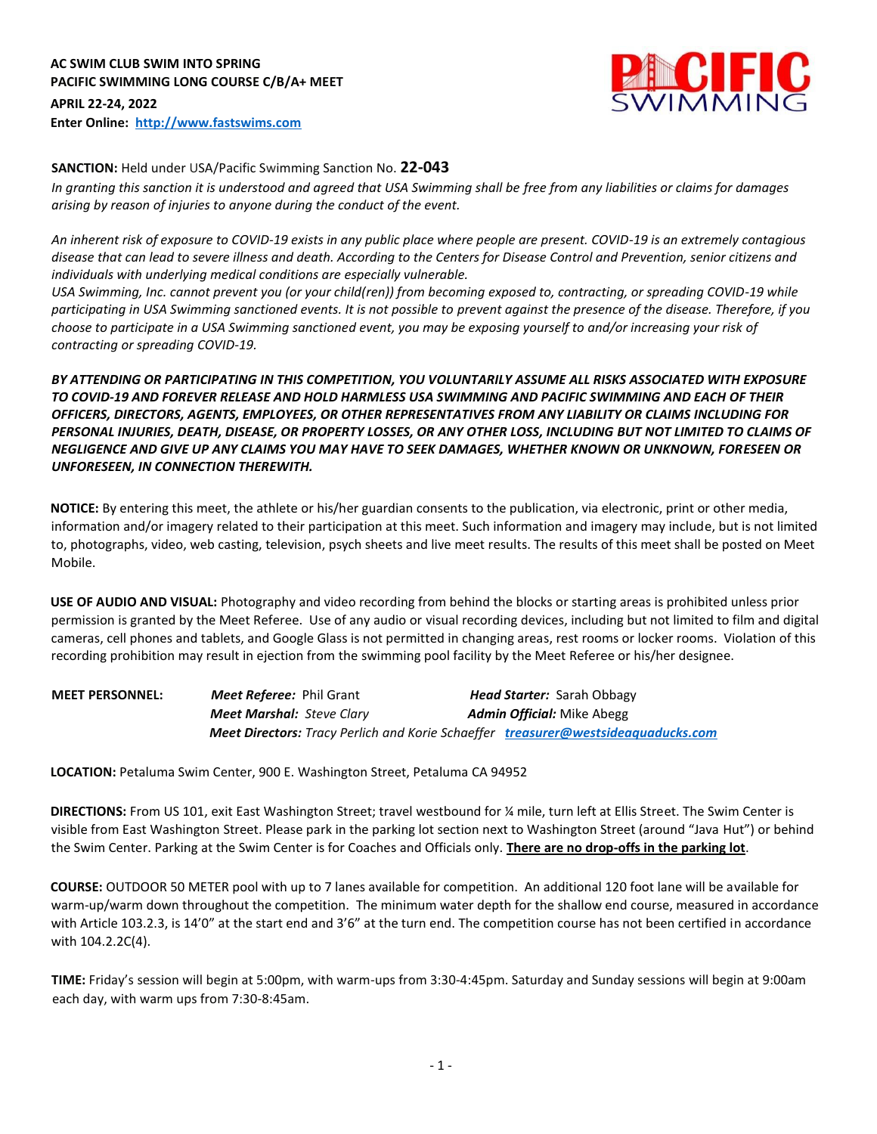

#### **SANCTION:** Held under USA/Pacific Swimming Sanction No. **22-043**

*In granting this sanction it is understood and agreed that USA Swimming shall be free from any liabilities or claims for damages arising by reason of injuries to anyone during the conduct of the event.*

*An inherent risk of exposure to COVID-19 exists in any public place where people are present. COVID-19 is an extremely contagious disease that can lead to severe illness and death. According to the Centers for Disease Control and Prevention, senior citizens and individuals with underlying medical conditions are especially vulnerable.* 

*USA Swimming, Inc. cannot prevent you (or your child(ren)) from becoming exposed to, contracting, or spreading COVID-19 while participating in USA Swimming sanctioned events. It is not possible to prevent against the presence of the disease. Therefore, if you choose to participate in a USA Swimming sanctioned event, you may be exposing yourself to and/or increasing your risk of contracting or spreading COVID-19.* 

### *BY ATTENDING OR PARTICIPATING IN THIS COMPETITION, YOU VOLUNTARILY ASSUME ALL RISKS ASSOCIATED WITH EXPOSURE TO COVID-19 AND FOREVER RELEASE AND HOLD HARMLESS USA SWIMMING AND PACIFIC SWIMMING AND EACH OF THEIR OFFICERS, DIRECTORS, AGENTS, EMPLOYEES, OR OTHER REPRESENTATIVES FROM ANY LIABILITY OR CLAIMS INCLUDING FOR PERSONAL INJURIES, DEATH, DISEASE, OR PROPERTY LOSSES, OR ANY OTHER LOSS, INCLUDING BUT NOT LIMITED TO CLAIMS OF NEGLIGENCE AND GIVE UP ANY CLAIMS YOU MAY HAVE TO SEEK DAMAGES, WHETHER KNOWN OR UNKNOWN, FORESEEN OR UNFORESEEN, IN CONNECTION THEREWITH.*

**NOTICE:** By entering this meet, the athlete or his/her guardian consents to the publication, via electronic, print or other media, information and/or imagery related to their participation at this meet. Such information and imagery may include, but is not limited to, photographs, video, web casting, television, psych sheets and live meet results. The results of this meet shall be posted on Meet Mobile.

**USE OF AUDIO AND VISUAL:** Photography and video recording from behind the blocks or starting areas is prohibited unless prior permission is granted by the Meet Referee. Use of any audio or visual recording devices, including but not limited to film and digital cameras, cell phones and tablets, and Google Glass is not permitted in changing areas, rest rooms or locker rooms. Violation of this recording prohibition may result in ejection from the swimming pool facility by the Meet Referee or his/her designee.

| <b>MEET PERSONNEL:</b> | <b>Meet Referee:</b> Phil Grant                                                          | <b>Head Starter:</b> Sarah Obbagy |
|------------------------|------------------------------------------------------------------------------------------|-----------------------------------|
|                        | <b>Meet Marshal:</b> Steve Clary                                                         | <b>Admin Official:</b> Mike Abegg |
|                        | <b>Meet Directors:</b> Tracy Perlich and Korie Schaeffer treasurer@westsideaguaducks.com |                                   |

**LOCATION:** Petaluma Swim Center, 900 E. Washington Street, Petaluma CA 94952

**DIRECTIONS:** From US 101, exit East Washington Street; travel westbound for ¼ mile, turn left at Ellis Street. The Swim Center is visible from East Washington Street. Please park in the parking lot section next to Washington Street (around "Java Hut") or behind the Swim Center. Parking at the Swim Center is for Coaches and Officials only. **There are no drop-offs in the parking lot**.

**COURSE:** OUTDOOR 50 METER pool with up to 7 lanes available for competition. An additional 120 foot lane will be available for warm-up/warm down throughout the competition. The minimum water depth for the shallow end course, measured in accordance with Article 103.2.3, is 14'0" at the start end and 3'6" at the turn end. The competition course has not been certified in accordance with 104.2.2C(4).

**TIME:** Friday's session will begin at 5:00pm, with warm-ups from 3:30-4:45pm. Saturday and Sunday sessions will begin at 9:00am each day, with warm ups from 7:30-8:45am.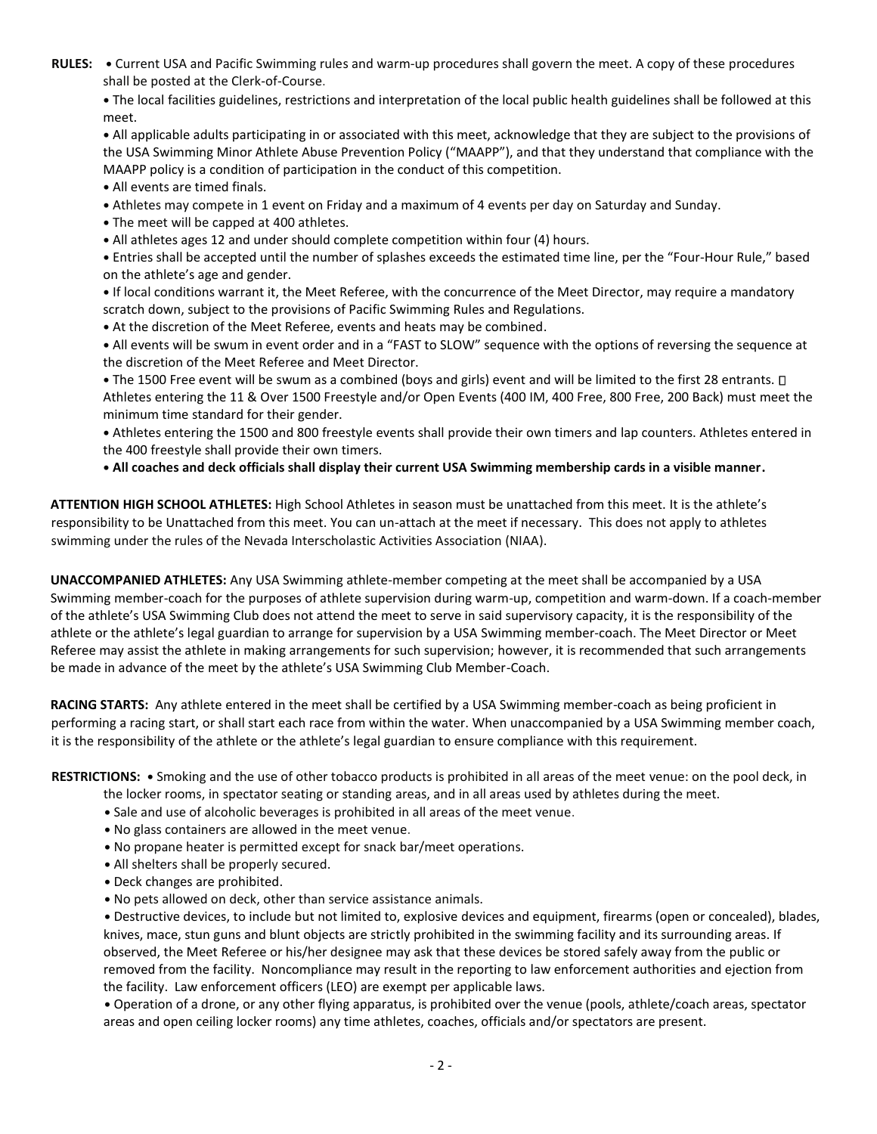**RULES: •** Current USA and Pacific Swimming rules and warm-up procedures shall govern the meet. A copy of these procedures shall be posted at the Clerk-of-Course.

**•** The local facilities guidelines, restrictions and interpretation of the local public health guidelines shall be followed at this meet.

**•** All applicable adults participating in or associated with this meet, acknowledge that they are subject to the provisions of the USA Swimming Minor Athlete Abuse Prevention Policy ("MAAPP"), and that they understand that compliance with the MAAPP policy is a condition of participation in the conduct of this competition.

- **•** All events are timed finals.
- **•** Athletes may compete in 1 event on Friday and a maximum of 4 events per day on Saturday and Sunday.
- **•** The meet will be capped at 400 athletes.
- **•** All athletes ages 12 and under should complete competition within four (4) hours.

**•** Entries shall be accepted until the number of splashes exceeds the estimated time line, per the "Four-Hour Rule," based on the athlete's age and gender.

**•** If local conditions warrant it, the Meet Referee, with the concurrence of the Meet Director, may require a mandatory scratch down, subject to the provisions of Pacific Swimming Rules and Regulations.

**•** At the discretion of the Meet Referee, events and heats may be combined.

**•** All events will be swum in event order and in a "FAST to SLOW" sequence with the options of reversing the sequence at the discretion of the Meet Referee and Meet Director.

• The 1500 Free event will be swum as a combined (boys and girls) event and will be limited to the first 28 entrants.  $\Box$ Athletes entering the 11 & Over 1500 Freestyle and/or Open Events (400 IM, 400 Free, 800 Free, 200 Back) must meet the minimum time standard for their gender.

**•** Athletes entering the 1500 and 800 freestyle events shall provide their own timers and lap counters. Athletes entered in the 400 freestyle shall provide their own timers.

**• All coaches and deck officials shall display their current USA Swimming membership cards in a visible manner.** 

**ATTENTION HIGH SCHOOL ATHLETES:** High School Athletes in season must be unattached from this meet. It is the athlete's responsibility to be Unattached from this meet. You can un-attach at the meet if necessary. This does not apply to athletes swimming under the rules of the Nevada Interscholastic Activities Association (NIAA).

**UNACCOMPANIED ATHLETES:** Any USA Swimming athlete-member competing at the meet shall be accompanied by a USA Swimming member-coach for the purposes of athlete supervision during warm-up, competition and warm-down. If a coach-member of the athlete's USA Swimming Club does not attend the meet to serve in said supervisory capacity, it is the responsibility of the athlete or the athlete's legal guardian to arrange for supervision by a USA Swimming member-coach. The Meet Director or Meet Referee may assist the athlete in making arrangements for such supervision; however, it is recommended that such arrangements be made in advance of the meet by the athlete's USA Swimming Club Member-Coach.

**RACING STARTS:** Any athlete entered in the meet shall be certified by a USA Swimming member-coach as being proficient in performing a racing start, or shall start each race from within the water. When unaccompanied by a USA Swimming member coach, it is the responsibility of the athlete or the athlete's legal guardian to ensure compliance with this requirement.

**RESTRICTIONS: •** Smoking and the use of other tobacco products is prohibited in all areas of the meet venue: on the pool deck, in

- the locker rooms, in spectator seating or standing areas, and in all areas used by athletes during the meet.
- **•** Sale and use of alcoholic beverages is prohibited in all areas of the meet venue.
- **•** No glass containers are allowed in the meet venue.
- **•** No propane heater is permitted except for snack bar/meet operations.
- **•** All shelters shall be properly secured.
- **•** Deck changes are prohibited.
- **•** No pets allowed on deck, other than service assistance animals.

 **•** Destructive devices, to include but not limited to, explosive devices and equipment, firearms (open or concealed), blades, knives, mace, stun guns and blunt objects are strictly prohibited in the swimming facility and its surrounding areas. If observed, the Meet Referee or his/her designee may ask that these devices be stored safely away from the public or removed from the facility. Noncompliance may result in the reporting to law enforcement authorities and ejection from the facility. Law enforcement officers (LEO) are exempt per applicable laws.

 **•** Operation of a drone, or any other flying apparatus, is prohibited over the venue (pools, athlete/coach areas, spectator areas and open ceiling locker rooms) any time athletes, coaches, officials and/or spectators are present.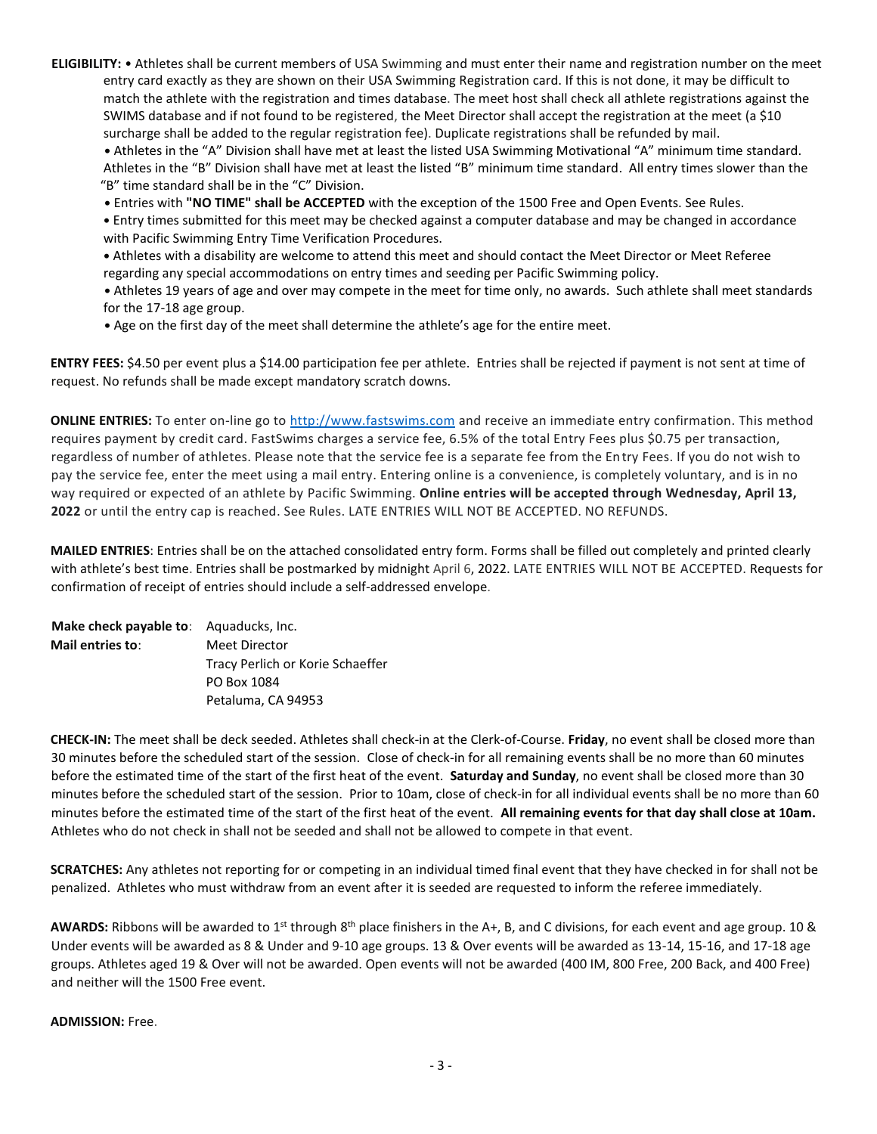**ELIGIBILITY:** • Athletes shall be current members of USA Swimming and must enter their name and registration number on the meet entry card exactly as they are shown on their USA Swimming Registration card. If this is not done, it may be difficult to match the athlete with the registration and times database. The meet host shall check all athlete registrations against the SWIMS database and if not found to be registered, the Meet Director shall accept the registration at the meet (a \$10 surcharge shall be added to the regular registration fee). Duplicate registrations shall be refunded by mail.

 **•** Athletes in the "A" Division shall have met at least the listed USA Swimming Motivational "A" minimum time standard. Athletes in the "B" Division shall have met at least the listed "B" minimum time standard. All entry times slower than the "B" time standard shall be in the "C" Division.

 **•** Entries with **"NO TIME" shall be ACCEPTED** with the exception of the 1500 Free and Open Events. See Rules.

 **•** Entry times submitted for this meet may be checked against a computer database and may be changed in accordance with Pacific Swimming Entry Time Verification Procedures.

 **•** Athletes with a disability are welcome to attend this meet and should contact the Meet Director or Meet Referee regarding any special accommodations on entry times and seeding per Pacific Swimming policy.

 **•** Athletes 19 years of age and over may compete in the meet for time only, no awards. Such athlete shall meet standards for the 17-18 age group.

 **•** Age on the first day of the meet shall determine the athlete's age for the entire meet.

**ENTRY FEES:** \$4.50 per event plus a \$14.00 participation fee per athlete. Entries shall be rejected if payment is not sent at time of request. No refunds shall be made except mandatory scratch downs.

**ONLINE ENTRIES:** To enter on-line go to [http://www.fastswims.com](https://www.google.com/url?q=http://www.fastswims.com&sa=D&source=editors&ust=1645838072615691&usg=AOvVaw2T5SSpFt_-XbgGv6fzVXa9) and receive an immediate entry confirmation. This method requires payment by credit card. FastSwims charges a service fee, 6.5% of the total Entry Fees plus \$0.75 per transaction, regardless of number of athletes. Please note that the service fee is a separate fee from the Entry Fees. If you do not wish to pay the service fee, enter the meet using a mail entry. Entering online is a convenience, is completely voluntary, and is in no way required or expected of an athlete by Pacific Swimming. **Online entries will be accepted through Wednesday, April 13, 2022** or until the entry cap is reached. See Rules. LATE ENTRIES WILL NOT BE ACCEPTED. NO REFUNDS.

**MAILED ENTRIES**: Entries shall be on the attached consolidated entry form. Forms shall be filled out completely and printed clearly with athlete's best time. Entries shall be postmarked by midnight April 6, 2022. LATE ENTRIES WILL NOT BE ACCEPTED. Requests for confirmation of receipt of entries should include a self-addressed envelope.

| <b>Make check payable to:</b> Aquaducks, Inc. |                                  |
|-----------------------------------------------|----------------------------------|
| Mail entries to:                              | Meet Director                    |
|                                               | Tracy Perlich or Korie Schaeffer |
|                                               | PO Box 1084                      |
|                                               | Petaluma, CA 94953               |

**CHECK-IN:** The meet shall be deck seeded. Athletes shall check-in at the Clerk-of-Course. **Friday**, no event shall be closed more than 30 minutes before the scheduled start of the session. Close of check-in for all remaining events shall be no more than 60 minutes before the estimated time of the start of the first heat of the event. **Saturday and Sunday**, no event shall be closed more than 30 minutes before the scheduled start of the session. Prior to 10am, close of check-in for all individual events shall be no more than 60 minutes before the estimated time of the start of the first heat of the event. **All remaining events for that day shall close at 10am.** Athletes who do not check in shall not be seeded and shall not be allowed to compete in that event.

**SCRATCHES:** Any athletes not reporting for or competing in an individual timed final event that they have checked in for shall not be penalized. Athletes who must withdraw from an event after it is seeded are requested to inform the referee immediately.

AWARDS: Ribbons will be awarded to 1<sup>st</sup> through 8<sup>th</sup> place finishers in the A+, B, and C divisions, for each event and age group. 10 & Under events will be awarded as 8 & Under and 9-10 age groups. 13 & Over events will be awarded as 13-14, 15-16, and 17-18 age groups. Athletes aged 19 & Over will not be awarded. Open events will not be awarded (400 IM, 800 Free, 200 Back, and 400 Free) and neither will the 1500 Free event.

**ADMISSION:** Free.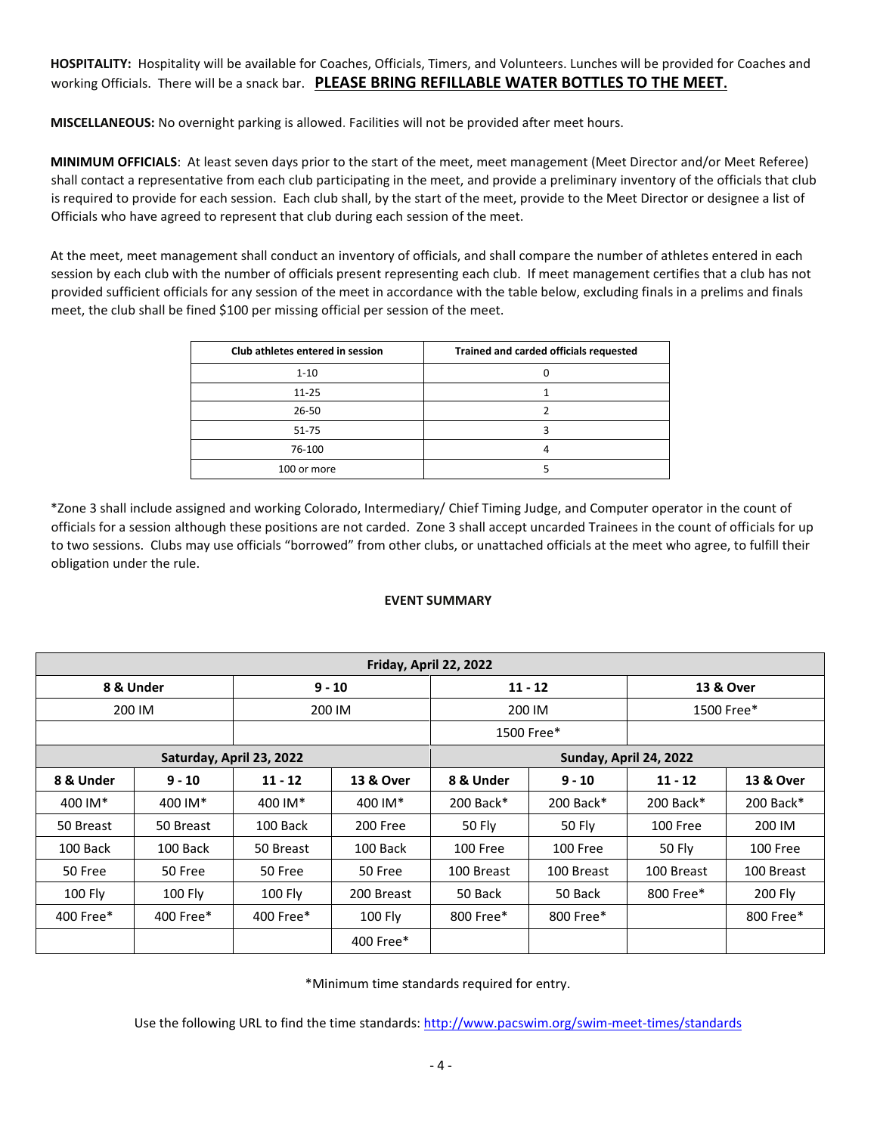**HOSPITALITY:** Hospitality will be available for Coaches, Officials, Timers, and Volunteers. Lunches will be provided for Coaches and working Officials. There will be a snack bar. **PLEASE BRING REFILLABLE WATER BOTTLES TO THE MEET.**

**MISCELLANEOUS:** No overnight parking is allowed. Facilities will not be provided after meet hours.

**MINIMUM OFFICIALS**: At least seven days prior to the start of the meet, meet management (Meet Director and/or Meet Referee) shall contact a representative from each club participating in the meet, and provide a preliminary inventory of the officials that club is required to provide for each session. Each club shall, by the start of the meet, provide to the Meet Director or designee a list of Officials who have agreed to represent that club during each session of the meet.

At the meet, meet management shall conduct an inventory of officials, and shall compare the number of athletes entered in each session by each club with the number of officials present representing each club. If meet management certifies that a club has not provided sufficient officials for any session of the meet in accordance with the table below, excluding finals in a prelims and finals meet, the club shall be fined \$100 per missing official per session of the meet.

| Club athletes entered in session | Trained and carded officials requested |  |  |  |  |  |
|----------------------------------|----------------------------------------|--|--|--|--|--|
| $1 - 10$                         |                                        |  |  |  |  |  |
| $11 - 25$                        |                                        |  |  |  |  |  |
| $26 - 50$                        |                                        |  |  |  |  |  |
| 51-75                            |                                        |  |  |  |  |  |
| 76-100                           |                                        |  |  |  |  |  |
| 100 or more                      |                                        |  |  |  |  |  |

\*Zone 3 shall include assigned and working Colorado, Intermediary/ Chief Timing Judge, and Computer operator in the count of officials for a session although these positions are not carded. Zone 3 shall accept uncarded Trainees in the count of officials for up to two sessions. Clubs may use officials "borrowed" from other clubs, or unattached officials at the meet who agree, to fulfill their obligation under the rule.

#### **EVENT SUMMARY**

| Friday, April 22, 2022 |           |                          |            |                        |                      |             |                      |  |  |
|------------------------|-----------|--------------------------|------------|------------------------|----------------------|-------------|----------------------|--|--|
| $9 - 10$<br>8 & Under  |           |                          |            | $11 - 12$              | <b>13 &amp; Over</b> |             |                      |  |  |
| 200 IM<br>200 IM       |           |                          | 200 IM     | 1500 Free*             |                      |             |                      |  |  |
|                        |           |                          |            | 1500 Free*             |                      |             |                      |  |  |
|                        |           | Saturday, April 23, 2022 |            | Sunday, April 24, 2022 |                      |             |                      |  |  |
| 8 & Under              | $9 - 10$  | $11 - 12$                | 13 & Over  | 8 & Under<br>$9 - 10$  |                      | $11 - 12$   | <b>13 &amp; Over</b> |  |  |
| 400 IM*                | 400 IM*   | 400 IM*                  | 400 IM*    | $200$ Back*            | $200$ Back $*$       | $200$ Back* | 200 Back*            |  |  |
| 50 Breast              | 50 Breast | 100 Back                 | 200 Free   |                        | 50 Fly               | 100 Free    | 200 IM               |  |  |
| 100 Back               | 100 Back  | 50 Breast                | 100 Back   | 100 Free               | 100 Free             | 50 Fly      | 100 Free             |  |  |
| 50 Free                | 50 Free   | 50 Free                  | 50 Free    | 100 Breast             | 100 Breast           | 100 Breast  | 100 Breast           |  |  |
| $100$ Fly              | 100 Fly   | 100 Fly                  | 200 Breast | 50 Back                | 50 Back              | 800 Free*   | 200 Fly              |  |  |
| 400 Free*              | 400 Free* | 400 Free*                | 100 Fly    | 800 Free*              | 800 Free*            |             | 800 Free*            |  |  |
|                        |           |                          | 400 Free*  |                        |                      |             |                      |  |  |

\*Minimum time standards required for entry.

Use the following URL to find the time standards:<http://www.pacswim.org/swim-meet-times/standards>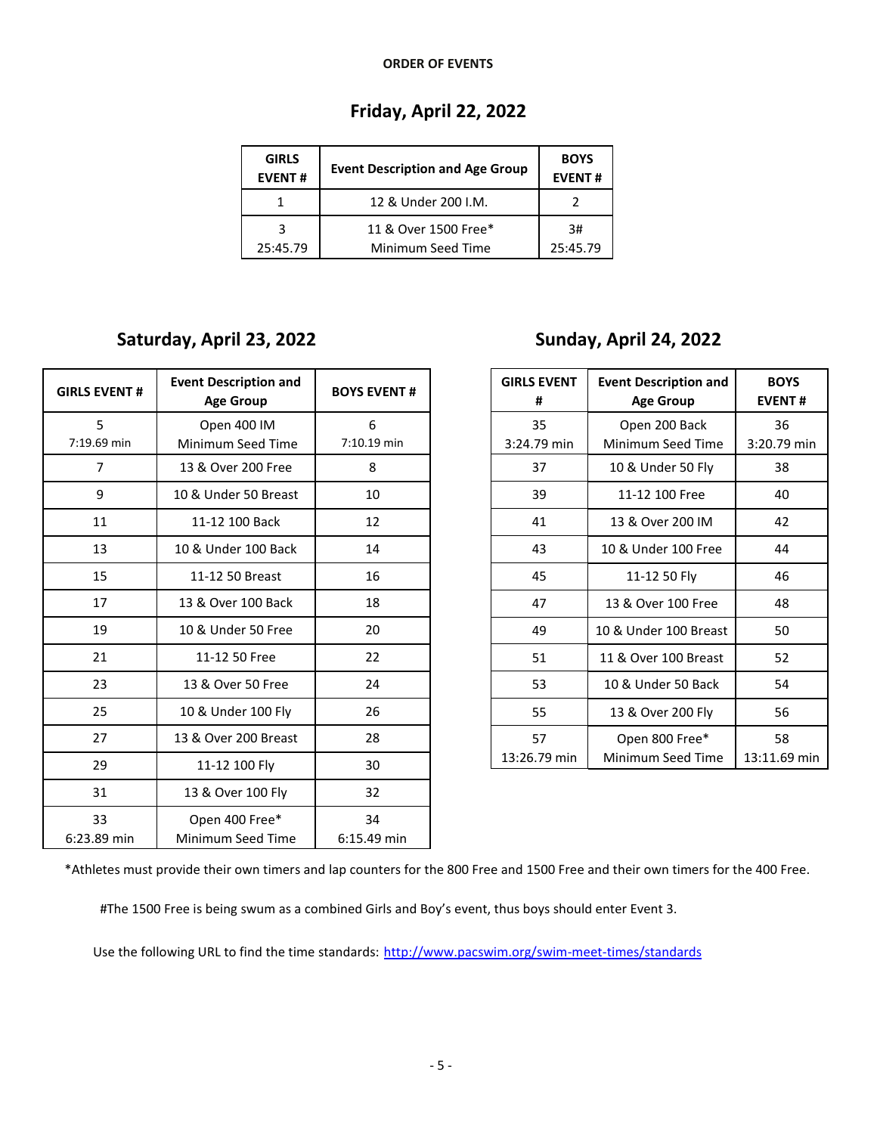#### **ORDER OF EVENTS**

# **Friday, April 22, 2022**

| <b>GIRLS</b><br><b>EVENT#</b> | <b>Event Description and Age Group</b> | <b>BOYS</b><br><b>EVENT#</b> |
|-------------------------------|----------------------------------------|------------------------------|
|                               | 12 & Under 200 I.M.                    |                              |
|                               | 11 & Over 1500 Free*                   | 3#                           |
| 25:45.79                      | Minimum Seed Time                      | 25:45.79                     |

## **Saturday, April 23, 2022 Sunday, April 24, 2022**

| <b>GIRLS EVENT #</b>             | <b>Event Description and</b><br><b>Age Group</b> |               |  |
|----------------------------------|--------------------------------------------------|---------------|--|
| 5                                | Open 400 IM                                      |               |  |
| 7:19.69 min                      | Minimum Seed Time                                | 7:10.19 min   |  |
| 7                                | 13 & Over 200 Free                               | 8             |  |
| 9                                | 10 & Under 50 Breast                             | 10            |  |
| 11                               | 11-12 100 Back                                   | 12            |  |
| 13                               | 10 & Under 100 Back                              | 14            |  |
| 15                               | 11-12 50 Breast                                  | 16            |  |
| 17                               | 13 & Over 100 Back                               | 18            |  |
| 19                               | 10 & Under 50 Free                               | 20            |  |
| 21                               | 11-12 50 Free                                    | 22            |  |
| 23                               | 13 & Over 50 Free                                | 24            |  |
| 25                               | 10 & Under 100 Fly                               | 26            |  |
| 27                               | 13 & Over 200 Breast                             | 28            |  |
| 29                               | 11-12 100 Fly                                    | 30            |  |
| 31                               | 13 & Over 100 Fly                                | 32            |  |
| 33                               | Open 400 Free*                                   | 34            |  |
| Minimum Seed Time<br>6:23.89 min |                                                  | $6:15.49$ min |  |

| <b>GIRLS EVENT</b><br># | <b>Event Description and</b><br><b>Age Group</b> | <b>BOYS</b><br><b>EVENT#</b> |
|-------------------------|--------------------------------------------------|------------------------------|
| 35                      | Open 200 Back                                    | 36                           |
| 3:24.79 min             | Minimum Seed Time                                | 3:20.79 min                  |
| 37                      | 10 & Under 50 Fly                                | 38                           |
| 39                      | 11-12 100 Free                                   | 40                           |
| 41                      | 13 & Over 200 IM                                 | 42                           |
| 43                      | 10 & Under 100 Free                              | 44                           |
| 45                      | 11-12 50 Fly                                     | 46                           |
| 47                      | 13 & Over 100 Free                               | 48                           |
| 49                      | 10 & Under 100 Breast                            | 50                           |
| 51                      | 11 & Over 100 Breast                             | 52                           |
| 53                      | 10 & Under 50 Back                               | 54                           |
| 55                      | 13 & Over 200 Fly                                | 56                           |
| 57                      | Open 800 Free*                                   | 58                           |
| 13:26.79 min            | Minimum Seed Time                                | 13:11.69 min                 |

\*Athletes must provide their own timers and lap counters for the 800 Free and 1500 Free and their own timers for the 400 Free.

#The 1500 Free is being swum as a combined Girls and Boy's event, thus boys should enter Event 3.

Use the following URL to find the time standards: <http://www.pacswim.org/swim-meet-times/standards>